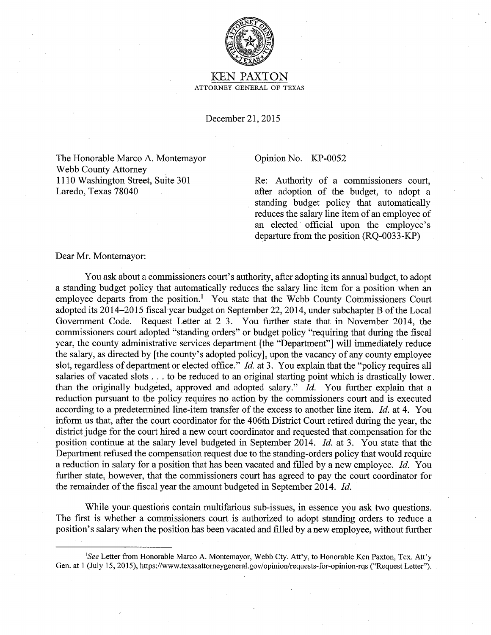

KEN PAXTON ATTORNEY GENERAL OF TEXAS

December 21, 2015

The Honorable Marco A. Montemayor Webb County Attorney 1110 Washington Street, Suite 301 Laredo, Texas 78040

## Opinion No. KP-0052

Re: Authority of a commissioners court, after adoption of the budget, to adopt a standing budget policy that automatically reduces the salary line item of an employee of an elected official upon the employee's departure from the position (RQ-0033-KP)

Dear Mr. Montemayor:

You ask about a commissioners court's authority, after adopting its annual budget, to adopt a standing budget policy that automatically reduces the salary line item for a position when an employee departs from the position.<sup>1</sup> You state that the Webb County Commissioners Court adopted its 2014-2015 fiscal year budget on September 22, 2014, under subchapter B of the Local Government Code. Request Letter at 2-3. You further state that in November 2014, the commissioners court adopted "standing orders" or budget policy "requiring that during the fiscal year, the county administrative services department [the "Department"] will immediately reduce the salary, as directed by [the county's adopted policy], upon the vacancy of any county employee slot, regardless of department or elected office." *Id.* at 3. You explain that the "policy requires all salaries of vacated slots ... to be reduced to an original starting point which is drastically lower. than the originally budgeted, approved and adopted salary." *Id.* You further explain that a reduction pursuant to the policy requires no action by the commissioners court and is executed according to a predetermined line-item transfer of the excess to another line item. *Id.* at 4. You inform us that, after the court coordinator for the 406th District Court retired during the year, the district judge for the court hired a new court coordinator and requested that compensation for the position continue at the salary level budgeted in September 2014. *Id.* at 3. You state that the Department refused the compensation request due to the standing-orders policy that would require a reduction in salary for a position that has been vacated and filled by a new employee. *Id.* You further state, however, that the commissioners court has agreed to pay the court coordinator for the remainder of the fiscal year the amount budgeted in September 2014. *Id.* 

While your- questions contain multifarious sub-issues, in essence you ask two questions. The first is whether a commissioners court is authorized to adopt standing orders to reduce a position's salary when the position has been vacated and filled by a new employee, without further

<sup>&</sup>lt;sup>1</sup>See Letter from Honorable Marco A. Montemayor, Webb Cty. Att'y, to Honorable Ken Paxton, Tex. Att'y Gen. at 1 (July 15, 2015), https://www.texasattorneygeneral.gov/opinion/requests-for-opinion-rqs ("Request Letter").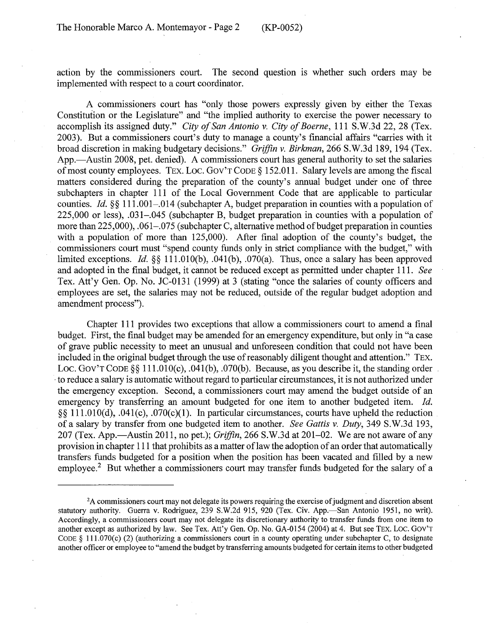action by the commissioners court. The second question is whether such orders may be implemented with respect to a court coordinator.

A commissioners court has "only those powers expressly given by either the Texas Constitution or the Legislature" and "the implied authority to exercise the power necessary to accomplish its assigned duty." *City of San Antonio v. City of Boerne,* 111 S.W.3d 22, 28 (Tex. 2003). But a commissioners court's duty to manage a county's financial affairs "carries with it broad discretion in making budgetary decisions." *Griffin v. Birkman,* 266 S.W.3d 189, 194 (Tex. App.—Austin 2008, pet. denied). A commissioners court has general authority to set the salaries of most county employees. TEX. LOC. GOV'T CODE § 152.011. Salary levels are among the fiscal matters considered during the preparation of the county's annual budget under one of three subchapters in chapter 111 of the Local Government Code that are applicable to particular counties. *Id.* §§ 111.001-.014 (subchapter A, budget preparation in counties with a population of 225,000 or less), .031-.045 (subchapter B, budget preparation in counties with a population of more than 225,000), .061–.075 (subchapter C, alternative method of budget preparation in counties with a population of more than 125,000). After final adoption of the county's budget, the commissioners court must "spend county funds only in strict compliance with the budget," with limited exceptions. *Id.* §§ 111.0lO(b), .041(b), .070(a). Thus, once a salary has been approved and adopted in the final budget, it cannot be reduced except as permitted under chapter 111. *See*  Tex. Att'y Gen. Op. No. JC-0131 (1999) at 3 (stating "once the salaries of county officers and employees are set, the salaries may not be reduced, outside of the regular budget adoption and amendment process").

Chapter 111 provides two exceptions that allow a commissioners court to amend a final budget. First, the final budget may be amended for an emergency expenditure, but only in "a case of grave public necessity to meet an unusual and unforeseen condition that could not have been included in the original budget through the use of reasonably diligent thought and attention." TEX. Loc. Gov't Code §§ 111.010(c), .041(b), .070(b). Because, as you describe it, the standing order ·to reduce a salary is automatic without regard to particular circumstances, it is not authorized under the emergency exception. Second, a commissioners court may amend the budget outside of an emergency by transferring an amount budgeted for one item to another budgeted item. *Id.* §§ 111.0lO(d), .041(c), .070(c)(l). In particular circumstances, courts have upheld the reduction of a salary by transfer from one budgeted item to another. *See Gattis v. Duty,* 349 S.W.3d 193, 207 (Tex. App.-Austin 2011, no pet.); *Griffin,* 266 S.W.3d at 201-02. We are not aware of any provision in chapter 111 that prohibits as a matter oflaw the adoption of an order that automatically transfers funds budgeted for a position when the position has been vacated and filled by a new employee.<sup>2</sup> But whether a commissioners court may transfer funds budgeted for the salary of a

<sup>&</sup>lt;sup>2</sup>A commissioners court may not delegate its powers requiring the exercise of judgment and discretion absent statutory authority. Guerra v. Rodriguez, 239 S.W.2d 915, 920 (Tex. Civ. App.-San Antonio 1951, no writ). Accordingly, a commissioners court may not delegate its discretionary authority to transfer funds from one item to another except as authorized by law. See Tex. Att'y Gen. Op. No. GA-0154 (2004) at 4. But see TEX. Loe. Gov'T CODE  $\S$  111.070(c) (2) (authorizing a commissioners court in a county operating under subchapter C, to designate another officer or employee to "amendthe budget by transferring amounts budgeted for certain items to other budgeted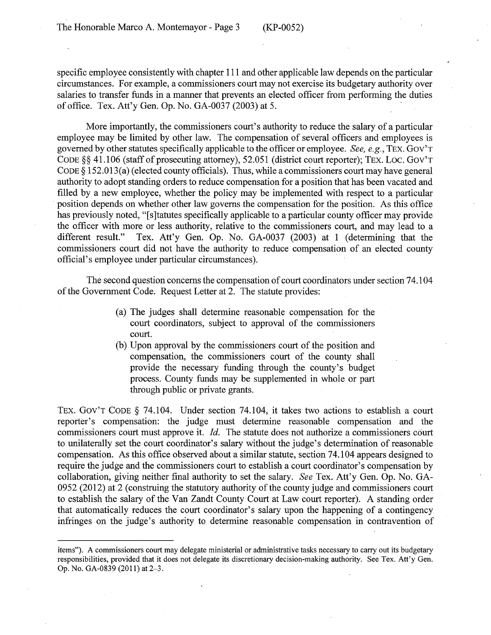specific employee consistently with chapter 111 and other applicable law depends on the particular circumstances. For example, a commissioners court may not exercise its budgetary authority over salaries to transfer funds in a manner that prevents an elected officer from performing the duties of office. Tex. Att'y Gen. Op. No. GA-0037 (2003) at 5. ·

More importantly, the commissioners court's authority to reduce the salary of a particular employee may be limited by other law. The compensation of several officers and employees is governed by other statutes specifically applicable to the officer or employee. *See, e.g.,* TEX. Gov'T CODE §§ 41.106 (staff of prosecuting attorney), 52.051 (district court reporter); TEX. LOC. GOV'T CODE  $\S 152.013(a)$  (elected county officials). Thus, while a commissioners court may have general authority to adopt standing orders to reduce compensation for a position that has been vacated and filled by a new employee, whether the policy may be implemented with respect to a particular position depends on whether other law governs the compensation for the position. As this office has previously noted, "[s] tatutes specifically applicable to a particular county officer may provide the officer with more or less authority, relative to the commissioners court, and may lead to a different result." Tex. Att'y Gen. Op. No. GA-0037 (2003) at 1 (determining that the commissioners court did not have the authority to reduce compensation of an elected county official's employee under particular circumstances). ·

The second question concerns the compensation of court coordinators under section 74.104 of the Government Code. Request Letter at 2. The statute provides:

- (a) The judges shall determine reasonable compensation for the court coordinators, subject to approval of the commissioners court.
- (b) Upon approval by the commissioners court of the position and compensation, the commissioners court of the county shall provide the necessary funding through the county's budget process. County funds may be supplemented in whole or part through public or private grants.

TEX. Gov'T CODE § 74.104. Under section 74.104, it takes two actions to establish a court reporter's compensation: the judge must determine reasonable compensation and the commissioners court must approve it. *Id.* The statute does not authorize a commissioners court to unilaterally set the court coordinator's salary without the judge's determination of reasonable compensation. As this office observed about a similar statute, section 74.104 appears designed to require the judge and the commissioners court to establish a court coordinator's compensation by collaboration, giving neither final authority to set the salary. *See* Tex. Att'y Gen. Op. No. GA-0952 (2012) at 2 (construing the statutory authority of the county judge and commissioners court to establish the salary of the Van Zandt County Court at Law court reporter). A standing order that automatically reduces the court coordinator's salary upon the happening of a contingency infringes on the judge's authority to determine reasonable compensation in contravention of

items"). A commissioners court may delegate ministerial or administrative tasks necessary to carry out its budgetary responsibilities, provided that it does not delegate its discretionary decision-making authority. See Tex. Att'y Gen. Op. No. GA-0839 (2011) at 2-3.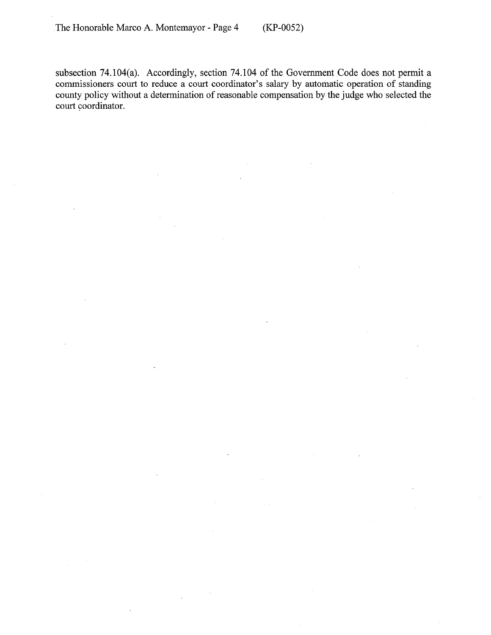subsection 74.104(a). Accordingly, section 74.104 of the Government Code does not permit a commissioners court to reduce a court coordinator's salary by automatic operation of standing county policy without a determination of reasonable compensation by the judge who selected the court coordinator.